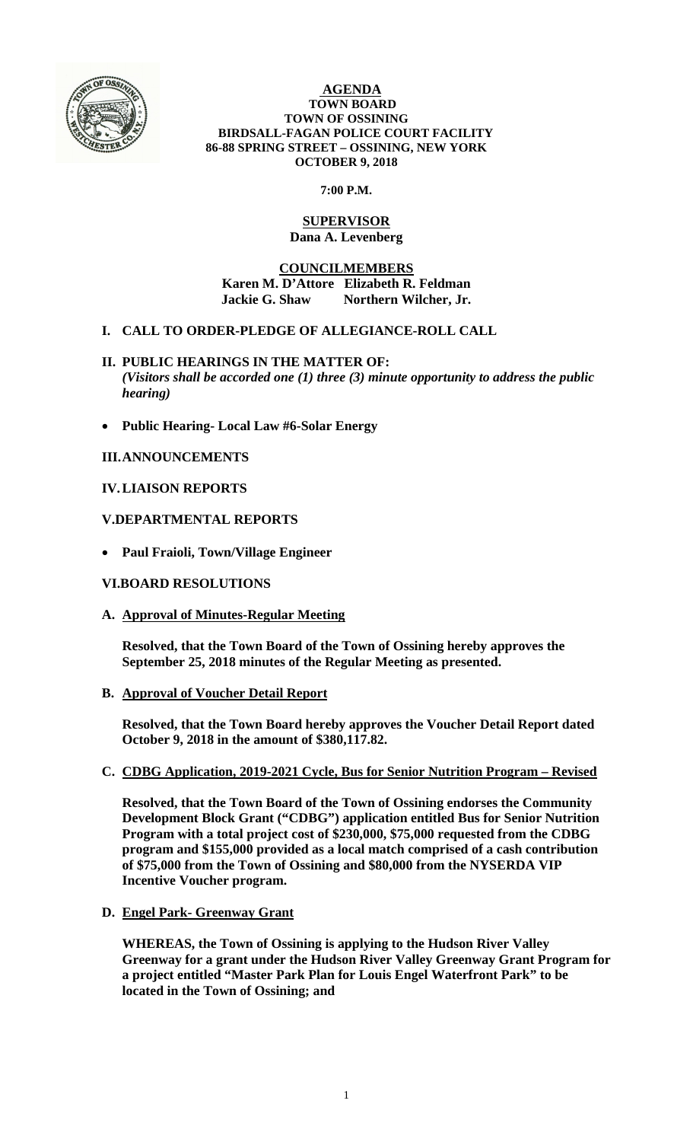

#### **AGENDA TOWN BOARD TOWN OF OSSINING BIRDSALL-FAGAN POLICE COURT FACILITY 86-88 SPRING STREET – OSSINING, NEW YORK OCTOBER 9, 2018**

### **7:00 P.M.**

### **SUPERVISOR Dana A. Levenberg**

### **COUNCILMEMBERS Karen M. D'Attore Elizabeth R. Feldman Jackie G. Shaw Northern Wilcher, Jr.**

# **I. CALL TO ORDER-PLEDGE OF ALLEGIANCE-ROLL CALL**

- **II. PUBLIC HEARINGS IN THE MATTER OF:**  *(Visitors shall be accorded one (1) three (3) minute opportunity to address the public hearing)*
- **Public Hearing- Local Law #6-Solar Energy**

# **III.ANNOUNCEMENTS**

# **IV.LIAISON REPORTS**

# **V.DEPARTMENTAL REPORTS**

**Paul Fraioli, Town/Village Engineer** 

### **VI.BOARD RESOLUTIONS**

**A. Approval of Minutes-Regular Meeting** 

**Resolved, that the Town Board of the Town of Ossining hereby approves the September 25, 2018 minutes of the Regular Meeting as presented.** 

**B. Approval of Voucher Detail Report** 

**Resolved, that the Town Board hereby approves the Voucher Detail Report dated October 9, 2018 in the amount of \$380,117.82.**

# **C. CDBG Application, 2019-2021 Cycle, Bus for Senior Nutrition Program – Revised**

**Resolved, that the Town Board of the Town of Ossining endorses the Community Development Block Grant ("CDBG") application entitled Bus for Senior Nutrition Program with a total project cost of \$230,000, \$75,000 requested from the CDBG program and \$155,000 provided as a local match comprised of a cash contribution of \$75,000 from the Town of Ossining and \$80,000 from the NYSERDA VIP Incentive Voucher program.** 

**D. Engel Park- Greenway Grant** 

**WHEREAS, the Town of Ossining is applying to the Hudson River Valley Greenway for a grant under the Hudson River Valley Greenway Grant Program for a project entitled "Master Park Plan for Louis Engel Waterfront Park" to be located in the Town of Ossining; and**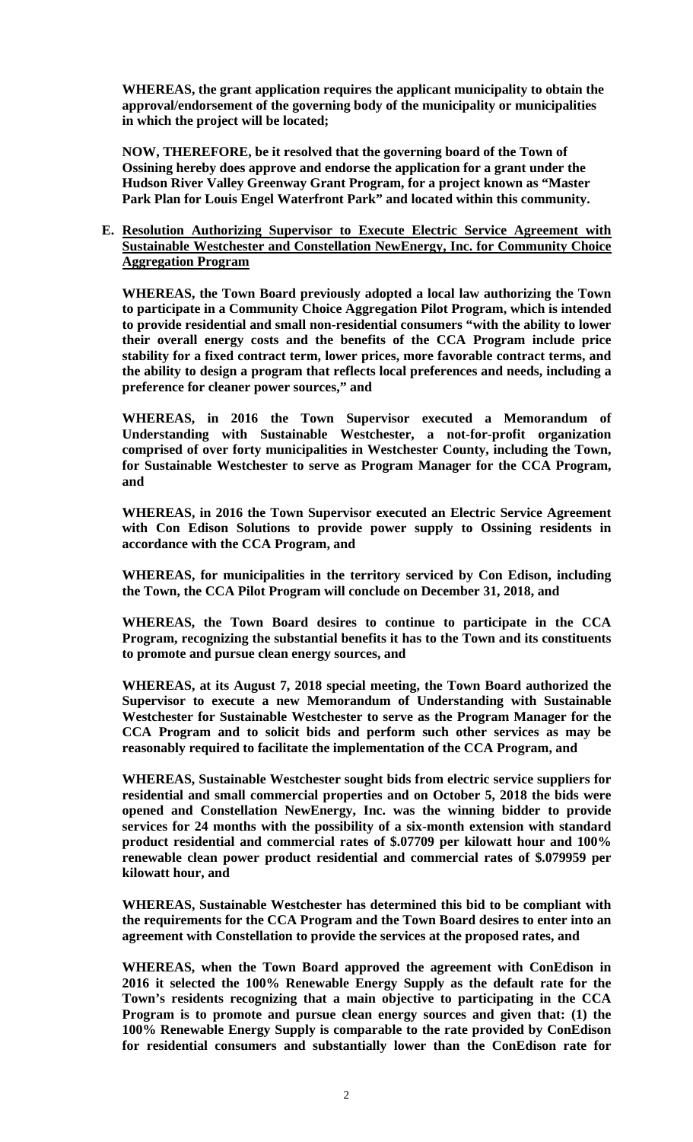**WHEREAS, the grant application requires the applicant municipality to obtain the approval/endorsement of the governing body of the municipality or municipalities in which the project will be located;** 

**NOW, THEREFORE, be it resolved that the governing board of the Town of Ossining hereby does approve and endorse the application for a grant under the Hudson River Valley Greenway Grant Program, for a project known as "Master Park Plan for Louis Engel Waterfront Park" and located within this community.** 

**E. Resolution Authorizing Supervisor to Execute Electric Service Agreement with Sustainable Westchester and Constellation NewEnergy, Inc. for Community Choice Aggregation Program**

**WHEREAS, the Town Board previously adopted a local law authorizing the Town to participate in a Community Choice Aggregation Pilot Program, which is intended to provide residential and small non-residential consumers "with the ability to lower their overall energy costs and the benefits of the CCA Program include price stability for a fixed contract term, lower prices, more favorable contract terms, and the ability to design a program that reflects local preferences and needs, including a preference for cleaner power sources," and** 

**WHEREAS, in 2016 the Town Supervisor executed a Memorandum of Understanding with Sustainable Westchester, a not-for-profit organization comprised of over forty municipalities in Westchester County, including the Town, for Sustainable Westchester to serve as Program Manager for the CCA Program, and** 

**WHEREAS, in 2016 the Town Supervisor executed an Electric Service Agreement with Con Edison Solutions to provide power supply to Ossining residents in accordance with the CCA Program, and** 

**WHEREAS, for municipalities in the territory serviced by Con Edison, including the Town, the CCA Pilot Program will conclude on December 31, 2018, and** 

**WHEREAS, the Town Board desires to continue to participate in the CCA Program, recognizing the substantial benefits it has to the Town and its constituents to promote and pursue clean energy sources, and** 

**WHEREAS, at its August 7, 2018 special meeting, the Town Board authorized the Supervisor to execute a new Memorandum of Understanding with Sustainable Westchester for Sustainable Westchester to serve as the Program Manager for the CCA Program and to solicit bids and perform such other services as may be reasonably required to facilitate the implementation of the CCA Program, and** 

**WHEREAS, Sustainable Westchester sought bids from electric service suppliers for residential and small commercial properties and on October 5, 2018 the bids were opened and Constellation NewEnergy, Inc. was the winning bidder to provide services for 24 months with the possibility of a six-month extension with standard product residential and commercial rates of \$.07709 per kilowatt hour and 100% renewable clean power product residential and commercial rates of \$.079959 per kilowatt hour, and** 

**WHEREAS, Sustainable Westchester has determined this bid to be compliant with the requirements for the CCA Program and the Town Board desires to enter into an agreement with Constellation to provide the services at the proposed rates, and** 

**WHEREAS, when the Town Board approved the agreement with ConEdison in 2016 it selected the 100% Renewable Energy Supply as the default rate for the Town's residents recognizing that a main objective to participating in the CCA Program is to promote and pursue clean energy sources and given that: (1) the 100% Renewable Energy Supply is comparable to the rate provided by ConEdison for residential consumers and substantially lower than the ConEdison rate for**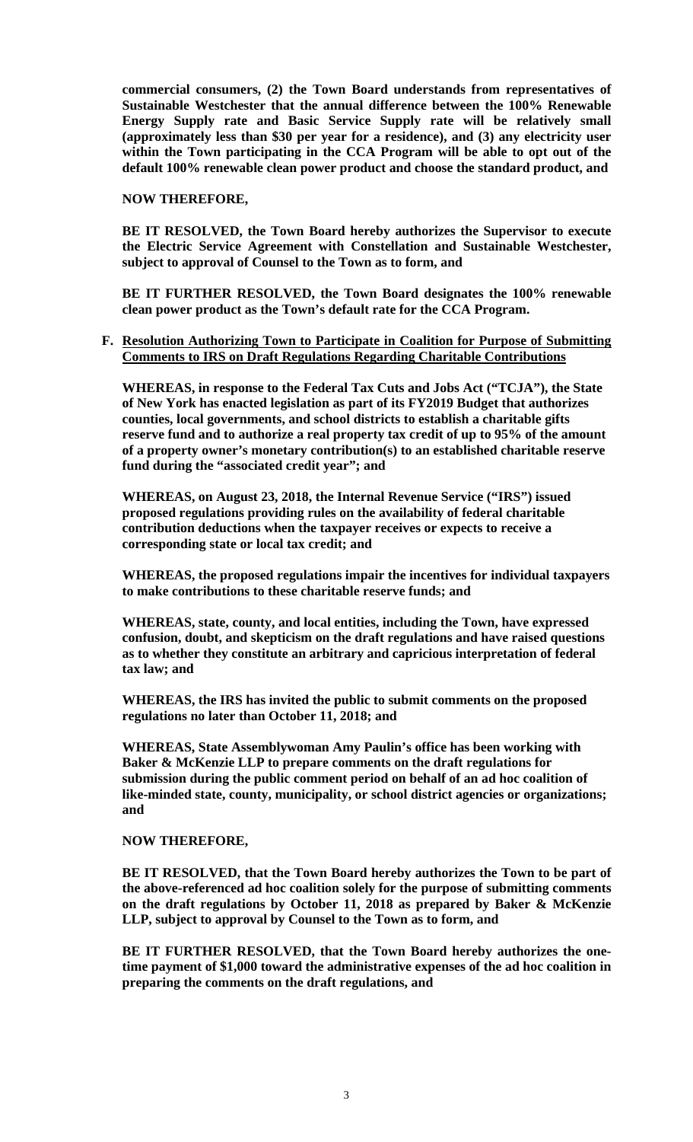**commercial consumers, (2) the Town Board understands from representatives of Sustainable Westchester that the annual difference between the 100% Renewable Energy Supply rate and Basic Service Supply rate will be relatively small (approximately less than \$30 per year for a residence), and (3) any electricity user within the Town participating in the CCA Program will be able to opt out of the default 100% renewable clean power product and choose the standard product, and** 

#### **NOW THEREFORE,**

**BE IT RESOLVED, the Town Board hereby authorizes the Supervisor to execute the Electric Service Agreement with Constellation and Sustainable Westchester, subject to approval of Counsel to the Town as to form, and** 

**BE IT FURTHER RESOLVED, the Town Board designates the 100% renewable clean power product as the Town's default rate for the CCA Program.** 

#### **F. Resolution Authorizing Town to Participate in Coalition for Purpose of Submitting Comments to IRS on Draft Regulations Regarding Charitable Contributions**

**WHEREAS, in response to the Federal Tax Cuts and Jobs Act ("TCJA"), the State of New York has enacted legislation as part of its FY2019 Budget that authorizes counties, local governments, and school districts to establish a charitable gifts reserve fund and to authorize a real property tax credit of up to 95% of the amount of a property owner's monetary contribution(s) to an established charitable reserve fund during the "associated credit year"; and** 

**WHEREAS, on August 23, 2018, the Internal Revenue Service ("IRS") issued proposed regulations providing rules on the availability of federal charitable contribution deductions when the taxpayer receives or expects to receive a corresponding state or local tax credit; and** 

**WHEREAS, the proposed regulations impair the incentives for individual taxpayers to make contributions to these charitable reserve funds; and** 

**WHEREAS, state, county, and local entities, including the Town, have expressed confusion, doubt, and skepticism on the draft regulations and have raised questions as to whether they constitute an arbitrary and capricious interpretation of federal tax law; and** 

**WHEREAS, the IRS has invited the public to submit comments on the proposed regulations no later than October 11, 2018; and** 

**WHEREAS, State Assemblywoman Amy Paulin's office has been working with Baker & McKenzie LLP to prepare comments on the draft regulations for submission during the public comment period on behalf of an ad hoc coalition of like-minded state, county, municipality, or school district agencies or organizations; and** 

#### **NOW THEREFORE,**

**BE IT RESOLVED, that the Town Board hereby authorizes the Town to be part of the above-referenced ad hoc coalition solely for the purpose of submitting comments on the draft regulations by October 11, 2018 as prepared by Baker & McKenzie LLP, subject to approval by Counsel to the Town as to form, and** 

**BE IT FURTHER RESOLVED, that the Town Board hereby authorizes the onetime payment of \$1,000 toward the administrative expenses of the ad hoc coalition in preparing the comments on the draft regulations, and**